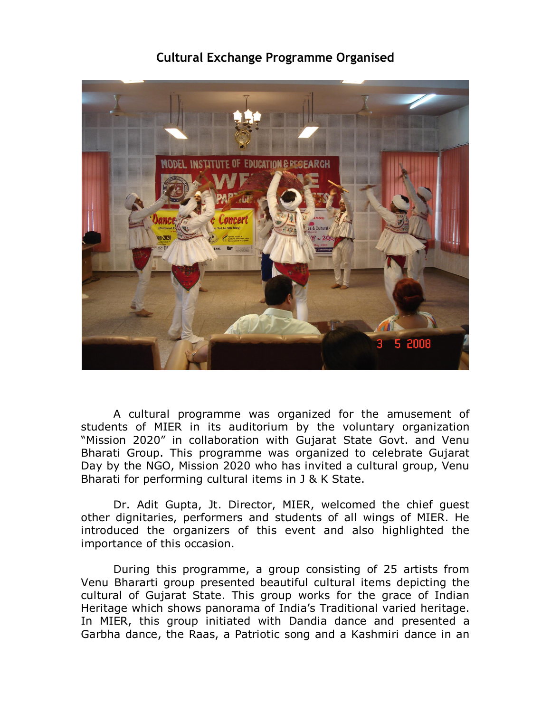## **Cultural Exchange Programme Organised**



A cultural programme was organized for the amusement of students of MIER in its auditorium by the voluntary organization "Mission 2020" in collaboration with Gujarat State Govt. and Venu Bharati Group. This programme was organized to celebrate Gujarat Day by the NGO, Mission 2020 who has invited a cultural group, Venu Bharati for performing cultural items in J & K State.

Dr. Adit Gupta, Jt. Director, MIER, welcomed the chief guest other dignitaries, performers and students of all wings of MIER. He introduced the organizers of this event and also highlighted the importance of this occasion.

During this programme, a group consisting of 25 artists from Venu Bhararti group presented beautiful cultural items depicting the cultural of Gujarat State. This group works for the grace of Indian Heritage which shows panorama of India's Traditional varied heritage. In MIER, this group initiated with Dandia dance and presented a Garbha dance, the Raas, a Patriotic song and a Kashmiri dance in an